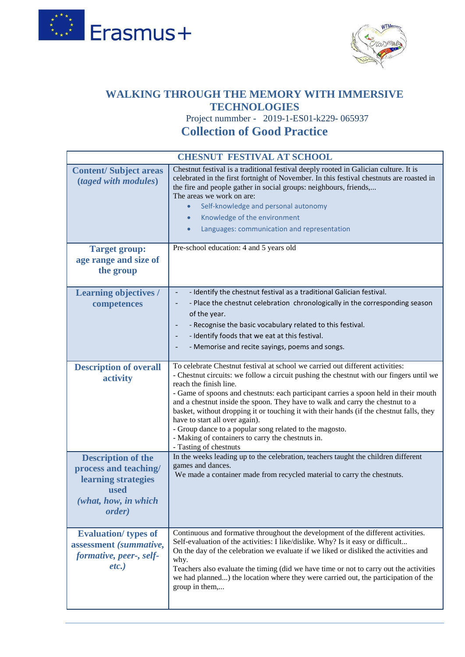



## **[WALKING THROUGH THE MEMORY WITH IMMERSIVE](https://www.wtmemory19.com/)  [TECHNOLOGIES](https://www.wtmemory19.com/)**

 Project nummber - 2019-1-ES01-k229- 065937 **Collection of Good Practice**

| <b>CHESNUT FESTIVAL AT SCHOOL</b>                                                                                           |                                                                                                                                                                                                                                                                                                                                                                                                                                                                                                                                                                                                                                                      |
|-----------------------------------------------------------------------------------------------------------------------------|------------------------------------------------------------------------------------------------------------------------------------------------------------------------------------------------------------------------------------------------------------------------------------------------------------------------------------------------------------------------------------------------------------------------------------------------------------------------------------------------------------------------------------------------------------------------------------------------------------------------------------------------------|
| <b>Content/Subject areas</b><br>(taged with modules)                                                                        | Chestnut festival is a traditional festival deeply rooted in Galician culture. It is<br>celebrated in the first fortnight of November. In this festival chestnuts are roasted in<br>the fire and people gather in social groups: neighbours, friends,<br>The areas we work on are:<br>Self-knowledge and personal autonomy<br>$\bullet$<br>Knowledge of the environment<br>Languages: communication and representation                                                                                                                                                                                                                               |
| <b>Target group:</b><br>age range and size of<br>the group                                                                  | Pre-school education: 4 and 5 years old                                                                                                                                                                                                                                                                                                                                                                                                                                                                                                                                                                                                              |
| <b>Learning objectives /</b><br>competences                                                                                 | - Identify the chestnut festival as a traditional Galician festival.<br>- Place the chestnut celebration chronologically in the corresponding season<br>of the year.<br>- Recognise the basic vocabulary related to this festival.<br>- Identify foods that we eat at this festival.<br>- Memorise and recite sayings, poems and songs.                                                                                                                                                                                                                                                                                                              |
| <b>Description of overall</b><br>activity                                                                                   | To celebrate Chestnut festival at school we carried out different activities:<br>- Chestnut circuits: we follow a circuit pushing the chestnut with our fingers until we<br>reach the finish line.<br>- Game of spoons and chestnuts: each participant carries a spoon held in their mouth<br>and a chestnut inside the spoon. They have to walk and carry the chestnut to a<br>basket, without dropping it or touching it with their hands (if the chestnut falls, they<br>have to start all over again).<br>- Group dance to a popular song related to the magosto.<br>- Making of containers to carry the chestnuts in.<br>- Tasting of chestnuts |
| <b>Description of the</b><br>process and teaching/<br>learning strategies<br>used<br>(what, how, in which<br><i>order</i> ) | In the weeks leading up to the celebration, teachers taught the children different<br>games and dances.<br>We made a container made from recycled material to carry the chestnuts.                                                                                                                                                                                                                                                                                                                                                                                                                                                                   |
| <b>Evaluation</b> / types of<br>assessment (summative,<br>formative, peer-, self-<br>$etc.$ )                               | Continuous and formative throughout the development of the different activities.<br>Self-evaluation of the activities: I like/dislike. Why? Is it easy or difficult<br>On the day of the celebration we evaluate if we liked or disliked the activities and<br>why.<br>Teachers also evaluate the timing (did we have time or not to carry out the activities<br>we had planned) the location where they were carried out, the participation of the<br>group in them,                                                                                                                                                                                |